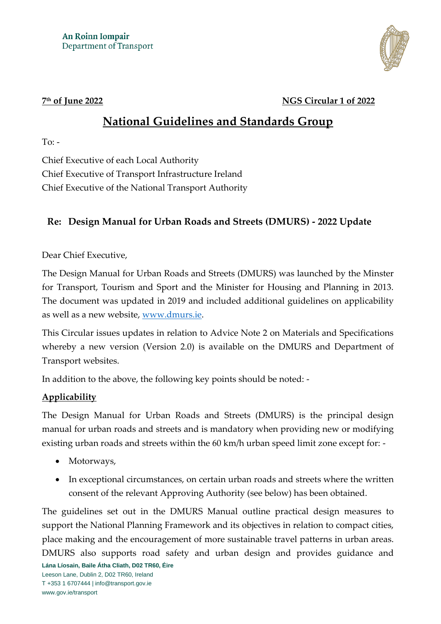

#### 7<sup>th</sup> of June 2022

#### **th of June 2022 NGS Circular 1 of 2022**

# **National Guidelines and Standards Group**

To:  $-$ 

Chief Executive of each Local Authority Chief Executive of Transport Infrastructure Ireland Chief Executive of the National Transport Authority

## **Re: Design Manual for Urban Roads and Streets (DMURS) - 2022 Update**

Dear Chief Executive,

The Design Manual for Urban Roads and Streets (DMURS) was launched by the Minster for Transport, Tourism and Sport and the Minister for Housing and Planning in 2013. The document was updated in 2019 and included additional guidelines on applicability as well as a new website, [www.dmurs.ie.](http://www.dmurs.ie/)

This Circular issues updates in relation to Advice Note 2 on Materials and Specifications whereby a new version (Version 2.0) is available on the DMURS and Department of Transport websites.

In addition to the above, the following key points should be noted: -

### **Applicability**

The Design Manual for Urban Roads and Streets (DMURS) is the principal design manual for urban roads and streets and is mandatory when providing new or modifying existing urban roads and streets within the 60 km/h urban speed limit zone except for: -

- Motorways,
- In exceptional circumstances, on certain urban roads and streets where the written consent of the relevant Approving Authority (see below) has been obtained.

The guidelines set out in the DMURS Manual outline practical design measures to support the National Planning Framework and its objectives in relation to compact cities, place making and the encouragement of more sustainable travel patterns in urban areas. DMURS also supports road safety and urban design and provides guidance and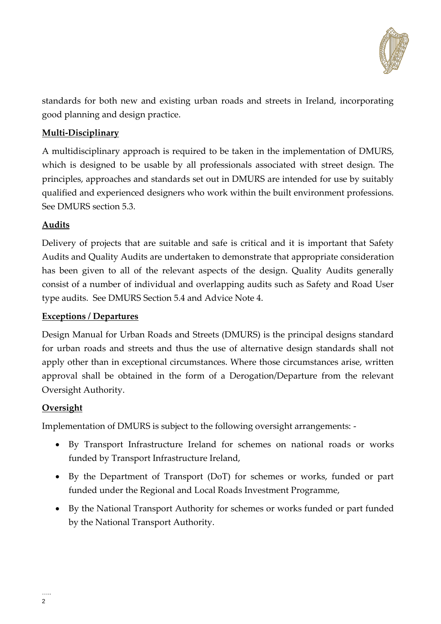

standards for both new and existing urban roads and streets in Ireland, incorporating good planning and design practice.

#### **Multi-Disciplinary**

A multidisciplinary approach is required to be taken in the implementation of DMURS, which is designed to be usable by all professionals associated with street design. The principles, approaches and standards set out in DMURS are intended for use by suitably qualified and experienced designers who work within the built environment professions. See DMURS section 5.3.

#### **Audits**

Delivery of projects that are suitable and safe is critical and it is important that Safety Audits and Quality Audits are undertaken to demonstrate that appropriate consideration has been given to all of the relevant aspects of the design. Quality Audits generally consist of a number of individual and overlapping audits such as Safety and Road User type audits. See DMURS Section 5.4 and Advice Note 4.

#### **Exceptions / Departures**

Design Manual for Urban Roads and Streets (DMURS) is the principal designs standard for urban roads and streets and thus the use of alternative design standards shall not apply other than in exceptional circumstances. Where those circumstances arise, written approval shall be obtained in the form of a Derogation/Departure from the relevant Oversight Authority.

#### **Oversight**

Implementation of DMURS is subject to the following oversight arrangements: -

- By Transport Infrastructure Ireland for schemes on national roads or works funded by Transport Infrastructure Ireland,
- By the Department of Transport (DoT) for schemes or works, funded or part funded under the Regional and Local Roads Investment Programme,
- By the National Transport Authority for schemes or works funded or part funded by the National Transport Authority.